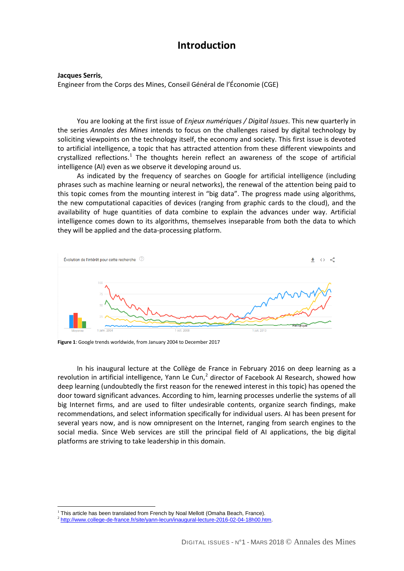## **Introduction**

**Jacques Serris**,

Engineer from the Corps des Mines, Conseil Général de l'Économie (CGE)

You are looking at the first issue of *Enjeux numériques / Digital Issues*. This new quarterly in the series *Annales des Mines* intends to focus on the challenges raised by digital technology by soliciting viewpoints on the technology itself, the economy and society. This first issue is devoted to artificial intelligence, a topic that has attracted attention from these different viewpoints and crystallized reflections.<sup>[1](#page-0-0)</sup> The thoughts herein reflect an awareness of the scope of artificial intelligence (AI) even as we observe it developing around us.

As indicated by the frequency of searches on Google for artificial intelligence (including phrases such as machine learning or neural networks), the renewal of the attention being paid to this topic comes from the mounting interest in "big data". The progress made using algorithms, the new computational capacities of devices (ranging from graphic cards to the cloud), and the availability of huge quantities of data combine to explain the advances under way. Artificial intelligence comes down to its algorithms, themselves inseparable from both the data to which they will be applied and the data-processing platform.



**Figure 1**: Google trends worldwide, from January 2004 to December 2017

In his inaugural lecture at the Collège de France in February 2016 on deep learning as a revolution in artificial intelligence, Yann Le Cun, $<sup>2</sup>$  $<sup>2</sup>$  $<sup>2</sup>$  director of Facebook AI Research, showed how</sup> deep learning (undoubtedly the first reason for the renewed interest in this topic) has opened the door toward significant advances. According to him, learning processes underlie the systems of all big Internet firms, and are used to filter undesirable contents, organize search findings, make recommendations, and select information specifically for individual users. AI has been present for several years now, and is now omnipresent on the Internet, ranging from search engines to the social media. Since Web services are still the principal field of AI applications, the big digital platforms are striving to take leadership in this domain.

 $\overline{a}$  $1$  This article has been translated from French by Noal Mellott (Omaha Beach, France).

<span id="page-0-1"></span><span id="page-0-0"></span><sup>2</sup> [http://www.college-de-france.fr/site/yann-lecun/inaugural-lecture-2016-02-04-18h00.htm.](http://www.college-de-france.fr/site/yann-lecun/inaugural-lecture-2016-02-04-18h00.htm)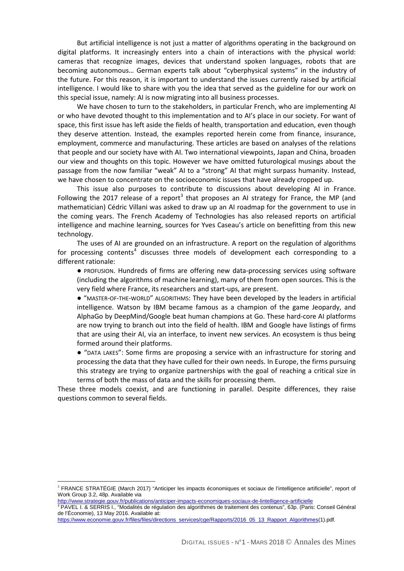But artificial intelligence is not just a matter of algorithms operating in the background on digital platforms. It increasingly enters into a chain of interactions with the physical world: cameras that recognize images, devices that understand spoken languages, robots that are becoming autonomous… German experts talk about "cyberphysical systems" in the industry of the future. For this reason, it is important to understand the issues currently raised by artificial intelligence. I would like to share with you the idea that served as the guideline for our work on this special issue, namely: AI is now migrating into all business processes.

We have chosen to turn to the stakeholders, in particular French, who are implementing AI or who have devoted thought to this implementation and to AI's place in our society. For want of space, this first issue has left aside the fields of health, transportation and education, even though they deserve attention. Instead, the examples reported herein come from finance, insurance, employment, commerce and manufacturing. These articles are based on analyses of the relations that people and our society have with AI. Two international viewpoints, Japan and China, broaden our view and thoughts on this topic. However we have omitted futurological musings about the passage from the now familiar "weak" AI to a "strong" AI that might surpass humanity. Instead, we have chosen to concentrate on the socioeconomic issues that have already cropped up.

This issue also purposes to contribute to discussions about developing AI in France. Following the 2017 release of a report<sup>[3](#page-1-0)</sup> that proposes an AI strategy for France, the MP (and mathematician) Cédric Villani was asked to draw up an AI roadmap for the government to use in the coming years. The French Academy of Technologies has also released reports on artificial intelligence and machine learning, sources for Yves Caseau's article on benefitting from this new technology.

The uses of AI are grounded on an infrastructure. A report on the regulation of algorithms for processing contents<sup>[4](#page-1-1)</sup> discusses three models of development each corresponding to a different rationale:

● PROFUSION. Hundreds of firms are offering new data-processing services using software (including the algorithms of machine learning), many of them from open sources. This is the very field where France, its researchers and start-ups, are present.

● "MASTER-OF-THE-WORLD" ALGORITHMS: They have been developed by the leaders in artificial intelligence. Watson by IBM became famous as a champion of the game Jeopardy, and AlphaGo by DeepMind/Google beat human champions at Go. These hard-core AI platforms are now trying to branch out into the field of health. IBM and Google have listings of firms that are using their AI, via an interface, to invent new services. An ecosystem is thus being formed around their platforms.

● "DATA LAKES": Some firms are proposing a service with an infrastructure for storing and processing the data that they have culled for their own needs. In Europe, the firms pursuing this strategy are trying to organize partnerships with the goal of reaching a critical size in terms of both the mass of data and the skills for processing them.

These three models coexist, and are functioning in parallel. Despite differences, they raise questions common to several fields.

 $\overline{a}$ 

<span id="page-1-0"></span><sup>&</sup>lt;sup>3</sup> FRANCE STRATÉGIE (March 2017) "Anticiper les impacts économiques et sociaux de l'intelligence artificielle", report of Work Group 3.2, 48p. Available via<br>http://www.strategie.gouv.fr/publications/anticiper-impacts-economiques-sociaux-de-lintelligence-artificielle

<span id="page-1-1"></span><sup>&</sup>lt;sup>4</sup> PAVEL I. & SERRIS I., "Modalités de régulation des algorithmes de traitement des contenus", 63p. (Paris: Conseil Général de l'Économie), 13 May 2016. Available at:

[https://www.economie.gouv.fr/files/files/directions\\_services/cge/Rapports/2016\\_05\\_13\\_Rapport\\_Algorithmes\(](https://www.economie.gouv.fr/files/files/directions_services/cge/Rapports/2016_05_13_Rapport_Algorithmes)1).pdf.